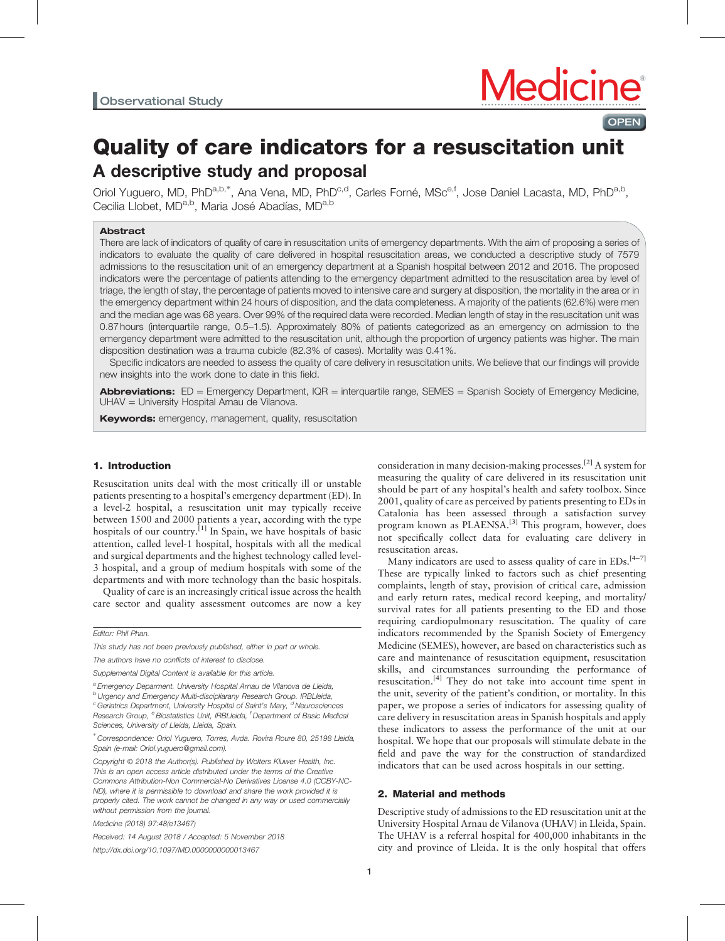**OPEN** 

# Quality of care indicators for a resuscitation unit A descriptive study and proposal

Oriol Yuguero, MD, PhD<sup>a,b,\*</sup>, Ana Vena, MD, PhD<sup>c,d</sup>, Carles Forné, MSc<sup>e,f</sup>, Jose Daniel Lacasta, MD, PhD<sup>a,b</sup>, Cecilia Llobet, MD<sup>a,b</sup>, Maria José Abadías, MD<sup>a,b</sup>

## Abstract

There are lack of indicators of quality of care in resuscitation units of emergency departments. With the aim of proposing a series of indicators to evaluate the quality of care delivered in hospital resuscitation areas, we conducted a descriptive study of 7579 admissions to the resuscitation unit of an emergency department at a Spanish hospital between 2012 and 2016. The proposed indicators were the percentage of patients attending to the emergency department admitted to the resuscitation area by level of triage, the length of stay, the percentage of patients moved to intensive care and surgery at disposition, the mortality in the area or in the emergency department within 24 hours of disposition, and the data completeness. A majority of the patients (62.6%) were men and the median age was 68 years. Over 99% of the required data were recorded. Median length of stay in the resuscitation unit was 0.87 hours (interquartile range, 0.5–1.5). Approximately 80% of patients categorized as an emergency on admission to the emergency department were admitted to the resuscitation unit, although the proportion of urgency patients was higher. The main disposition destination was a trauma cubicle (82.3% of cases). Mortality was 0.41%.

Specific indicators are needed to assess the quality of care delivery in resuscitation units. We believe that our findings will provide new insights into the work done to date in this field.

Abbreviations: ED = Emergency Department, IQR = interquartile range, SEMES = Spanish Society of Emergency Medicine, UHAV = University Hospital Arnau de Vilanova.

**Keywords:** emergency, management, quality, resuscitation

## 1. Introduction

Resuscitation units deal with the most critically ill or unstable patients presenting to a hospital's emergency department (ED). In a level-2 hospital, a resuscitation unit may typically receive between 1500 and 2000 patients a year, according with the type hospitals of our country.<sup>[\[1\]](#page-3-0)</sup> In Spain, we have hospitals of basic attention, called level-1 hospital, hospitals with all the medical and surgical departments and the highest technology called level-3 hospital, and a group of medium hospitals with some of the departments and with more technology than the basic hospitals.

Quality of care is an increasingly critical issue across the health care sector and quality assessment outcomes are now a key

Editor: Phil Phan.

This study has not been previously published, either in part or whole.

The authors have no conflicts of interest to disclose.

Supplemental Digital Content is available for this article.

<sup>a</sup> Emergency Deparment. University Hospital Arnau de Vilanova de Lleida,

bUrgency and Emergency Multi-discipliarany Research Group. IRBLleida,  $\textdegree$  Geriatrics Department, University Hospital of Saint's Mary,  $\textdegree$  Neurosciences Research Group, <sup>e</sup> Biostatistics Unit, IRBLleida, <sup>f</sup> Department of Basic Medical Sciences, University of Lleida, Lleida, Spain.

Medicine (2018) 97:48(e13467)

Received: 14 August 2018 / Accepted: 5 November 2018 <http://dx.doi.org/10.1097/MD.0000000000013467>

consideration in many decision-making processes.[\[2\]](#page-3-0) A system for measuring the quality of care delivered in its resuscitation unit should be part of any hospital's health and safety toolbox. Since 2001, quality of care as perceived by patients presenting to EDs in Catalonia has been assessed through a satisfaction survey program known as PLAENSA.<sup>[\[3\]](#page-3-0)</sup> This program, however, does not specifically collect data for evaluating care delivery in resuscitation areas.

Many indicators are used to assess quality of care in EDs.<sup>[4-7]</sup> These are typically linked to factors such as chief presenting complaints, length of stay, provision of critical care, admission and early return rates, medical record keeping, and mortality/ survival rates for all patients presenting to the ED and those requiring cardiopulmonary resuscitation. The quality of care indicators recommended by the Spanish Society of Emergency Medicine (SEMES), however, are based on characteristics such as care and maintenance of resuscitation equipment, resuscitation skills, and circumstances surrounding the performance of resuscitation.<sup>[\[4\]](#page-3-0)</sup> They do not take into account time spent in the unit, severity of the patient's condition, or mortality. In this paper, we propose a series of indicators for assessing quality of care delivery in resuscitation areas in Spanish hospitals and apply these indicators to assess the performance of the unit at our hospital. We hope that our proposals will stimulate debate in the field and pave the way for the construction of standardized indicators that can be used across hospitals in our setting.

## 2. Material and methods

Descriptive study of admissions to the ED resuscitation unit at the University Hospital Arnau de Vilanova (UHAV) in Lleida, Spain. The UHAV is a referral hospital for 400,000 inhabitants in the city and province of Lleida. It is the only hospital that offers

<sup>∗</sup> Correspondence: Oriol Yuguero, Torres, Avda. Rovira Roure 80, 25198 Lleida, Spain (e-mail: [Oriol.yuguero@gmail.com\)](mailto:Oriol.yuguero@gmail.com).

Copyright © 2018 the Author(s). Published by Wolters Kluwer Health, Inc. This is an open access article distributed under the terms of the [Creative](http://creativecommons.org/licenses/by-nc-nd/4.0) [Commons Attribution-Non Commercial-No Derivatives License 4.0](http://creativecommons.org/licenses/by-nc-nd/4.0) (CCBY-NC-ND), where it is permissible to download and share the work provided it is properly cited. The work cannot be changed in any way or used commercially without permission from the journal.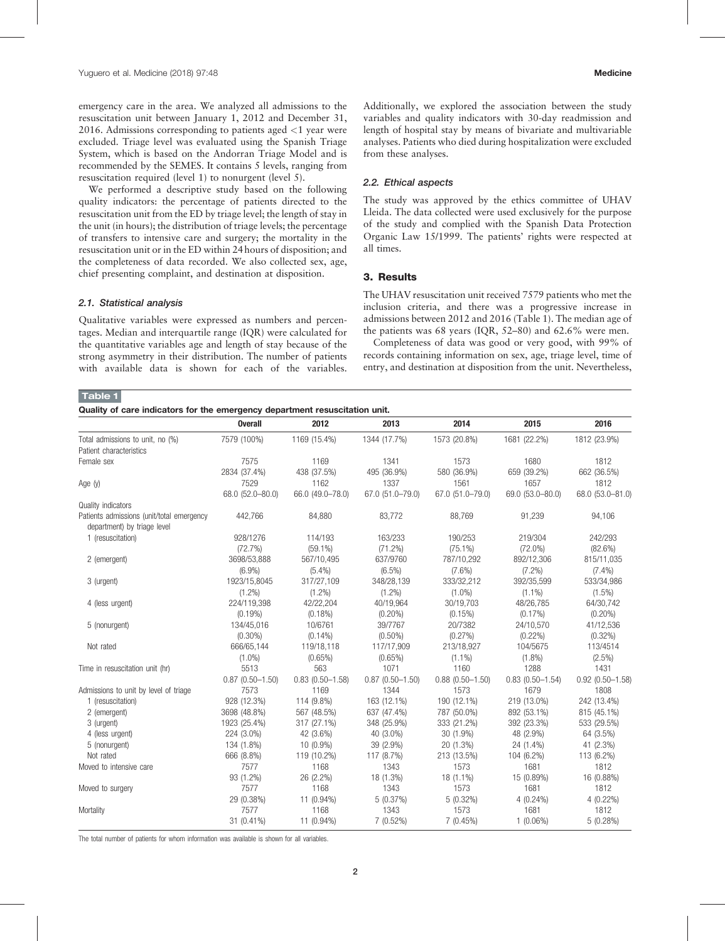emergency care in the area. We analyzed all admissions to the resuscitation unit between January 1, 2012 and December 31, 2016. Admissions corresponding to patients aged <1 year were excluded. Triage level was evaluated using the Spanish Triage System, which is based on the Andorran Triage Model and is recommended by the SEMES. It contains 5 levels, ranging from resuscitation required (level 1) to nonurgent (level 5).

We performed a descriptive study based on the following quality indicators: the percentage of patients directed to the resuscitation unit from the ED by triage level; the length of stay in the unit (in hours); the distribution of triage levels; the percentage of transfers to intensive care and surgery; the mortality in the resuscitation unit or in the ED within 24 hours of disposition; and the completeness of data recorded. We also collected sex, age, chief presenting complaint, and destination at disposition.

#### 2.1. Statistical analysis

Qualitative variables were expressed as numbers and percentages. Median and interquartile range (IQR) were calculated for the quantitative variables age and length of stay because of the strong asymmetry in their distribution. The number of patients with available data is shown for each of the variables.

Additionally, we explored the association between the study variables and quality indicators with 30-day readmission and length of hospital stay by means of bivariate and multivariable analyses. Patients who died during hospitalization were excluded from these analyses.

#### 2.2. Ethical aspects

The study was approved by the ethics committee of UHAV Lleida. The data collected were used exclusively for the purpose of the study and complied with the Spanish Data Protection Organic Law 15/1999. The patients' rights were respected at all times.

# 3. Results

The UHAV resuscitation unit received 7579 patients who met the inclusion criteria, and there was a progressive increase in admissions between 2012 and 2016 (Table 1). The median age of the patients was 68 years (IQR, 52–80) and 62.6% were men.

Completeness of data was good or very good, with 99% of records containing information on sex, age, triage level, time of entry, and destination at disposition from the unit. Nevertheless,

## Table 1

Quality of care indicators for the emergency department resuscitation unit.

|                                                                          | <b>Overall</b>      | 2012                   | 2013                   | 2014                   | 2015                   | 2016               |
|--------------------------------------------------------------------------|---------------------|------------------------|------------------------|------------------------|------------------------|--------------------|
| Total admissions to unit, no (%)<br>Patient characteristics              | 7579 (100%)         | 1169 (15.4%)           | 1344 (17.7%)           | 1573 (20.8%)           | 1681 (22.2%)           | 1812 (23.9%)       |
| Female sex                                                               | 7575                | 1169                   | 1341                   | 1573                   | 1680                   | 1812               |
|                                                                          | 2834 (37.4%)        | 438 (37.5%)            | 495 (36.9%)            | 580 (36.9%)            | 659 (39.2%)            | 662 (36.5%)        |
| Age (y)                                                                  | 7529                | 1162                   | 1337                   | 1561                   | 1657                   | 1812               |
|                                                                          | 68.0 (52.0-80.0)    | 66.0 (49.0-78.0)       | 67.0 (51.0-79.0)       | 67.0 (51.0-79.0)       | 69.0 (53.0-80.0)       | 68.0 (53.0-81.0)   |
| Quality indicators                                                       |                     |                        |                        |                        |                        |                    |
| Patients admissions (unit/total emergency<br>department) by triage level | 442,766             | 84,880                 | 83,772                 | 88,769                 | 91,239                 | 94,106             |
| 1 (resuscitation)                                                        | 928/1276            | 114/193                | 163/233                | 190/253                | 219/304                | 242/293            |
|                                                                          | (72.7%)             | $(59.1\%)$             | (71.2%)                | $(75.1\%)$             | $(72.0\%)$             | $(82.6\%)$         |
| 2 (emergent)                                                             | 3698/53,888         | 567/10,495             | 637/9760               | 787/10,292             | 892/12,306             | 815/11,035         |
|                                                                          | $(6.9\%)$           | $(5.4\%)$              | $(6.5\%)$              | $(7.6\%)$              | $(7.2\%)$              | $(7.4\%)$          |
| 3 (urgent)                                                               | 1923/15,8045        | 317/27,109             | 348/28,139             | 333/32,212             | 392/35,599             | 533/34,986         |
|                                                                          | $(1.2\%)$           | $(1.2\%)$              | $(1.2\%)$              | $(1.0\%)$              | $(1.1\%)$              | $(1.5\%)$          |
| 4 (less urgent)                                                          | 224/119,398         | 42/22,204              | 40/19,964              | 30/19,703              | 48/26,785              | 64/30,742          |
|                                                                          | $(0.19\%)$          | $(0.18\%)$             | $(0.20\%)$             | (0.15%)                | $(0.17\%)$             | $(0.20\%)$         |
| 5 (nonurgent)                                                            | 134/45,016          | 10/6761                | 39/7767                | 20/7382                | 24/10,570              | 41/12,536          |
|                                                                          | $(0.30\%)$          | $(0.14\%)$             | $(0.50\%)$             | $(0.27\%)$             | $(0.22\%)$             | $(0.32\%)$         |
| Not rated                                                                | 666/65.144          | 119/18,118             | 117/17.909             | 213/18,927             | 104/5675               | 113/4514           |
|                                                                          | $(1.0\%)$           | $(0.65\%)$             | (0.65%)                | $(1.1\%)$              | $(1.8\%)$              | $(2.5\%)$          |
| Time in resuscitation unit (hr)                                          | 5513                | 563                    | 1071                   | 1160                   | 1288                   | 1431               |
|                                                                          | $0.87(0.50 - 1.50)$ | $0.83$ $(0.50 - 1.58)$ | $0.87$ $(0.50 - 1.50)$ | $0.88$ $(0.50 - 1.50)$ | $0.83$ $(0.50 - 1.54)$ | $0.92$ (0.50-1.58) |
| Admissions to unit by level of triage                                    | 7573                | 1169                   | 1344                   | 1573                   | 1679                   | 1808               |
| 1 (resuscitation)                                                        | 928 (12.3%)         | 114 (9.8%)             | 163 (12.1%)            | 190 (12.1%)            | 219 (13.0%)            | 242 (13.4%)        |
| 2 (emergent)                                                             | 3698 (48.8%)        | 567 (48.5%)            | 637 (47.4%)            | 787 (50.0%)            | 892 (53.1%)            | 815 (45.1%)        |
| 3 (urgent)                                                               | 1923 (25.4%)        | 317 (27.1%)            | 348 (25.9%)            | 333 (21.2%)            | 392 (23.3%)            | 533 (29.5%)        |
| 4 (less urgent)                                                          | 224 (3.0%)          | 42 (3.6%)              | 40 (3.0%)              | 30 (1.9%)              | 48 (2.9%)              | 64 (3.5%)          |
| 5 (nonurgent)                                                            | 134 (1.8%)          | 10 (0.9%)              | 39 (2.9%)              | 20 (1.3%)              | 24 (1.4%)              | 41 (2.3%)          |
| Not rated                                                                | 666 (8.8%)          | 119 (10.2%)            | 117 (8.7%)             | 213 (13.5%)            | 104 (6.2%)             | 113 (6.2%)         |
| Moved to intensive care                                                  | 7577                | 1168                   | 1343                   | 1573                   | 1681                   | 1812               |
|                                                                          | 93 (1.2%)           | 26 (2.2%)              | 18 (1.3%)              | 18 (1.1%)              | 15 (0.89%)             | 16 (0.88%)         |
| Moved to surgery                                                         | 7577                | 1168                   | 1343                   | 1573                   | 1681                   | 1812               |
|                                                                          | 29 (0.38%)          | 11 (0.94%)             | 5(0.37%)               | $5(0.32\%)$            | $4(0.24\%)$            | $4(0.22\%)$        |
| Mortality                                                                | 7577                | 1168                   | 1343                   | 1573                   | 1681                   | 1812               |
|                                                                          | 31 (0.41%)          | 11 (0.94%)             | $7(0.52\%)$            | 7(0.45%)               | $1(0.06\%)$            | 5(0.28%)           |

The total number of patients for whom information was available is shown for all variables.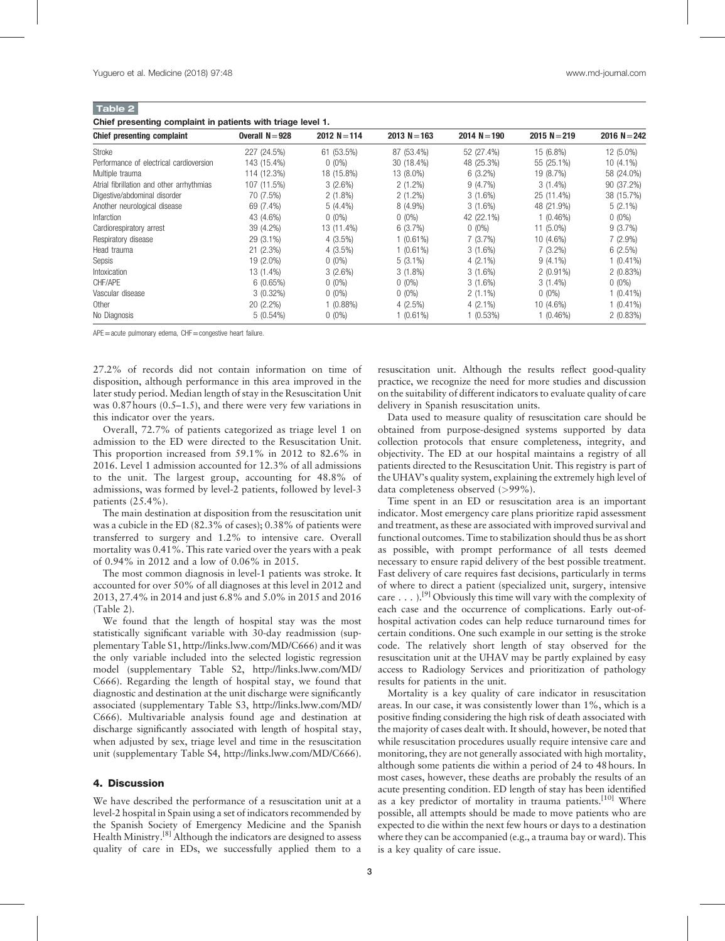Table 2 Chief presenting complaint in patients with triage level 1.

| Chief presenting complaint                | Overall $N = 928$ | $2012 N = 114$ | $2013 N = 163$ | $2014 N = 190$ | $2015 N = 219$ | 2016 $N = 242$ |
|-------------------------------------------|-------------------|----------------|----------------|----------------|----------------|----------------|
| Stroke                                    | 227 (24.5%)       | 61 (53.5%)     | 87 (53.4%)     | 52 (27.4%)     | 15 (6.8%)      | 12 (5.0%)      |
| Performance of electrical cardioversion   | 143 (15.4%)       | $0(0\%)$       | 30 (18.4%)     | 48 (25.3%)     | 55 (25.1%)     | $10(4.1\%)$    |
| Multiple trauma                           | 114 (12.3%)       | 18 (15.8%)     | 13 (8.0%)      | $6(3.2\%)$     | 19 (8.7%)      | 58 (24.0%)     |
| Atrial fibrillation and other arrhythmias | 107 (11.5%)       | 3(2.6%)        | $2(1.2\%)$     | $9(4.7\%)$     | $3(1.4\%)$     | 90 (37.2%)     |
| Digestive/abdominal disorder              | 70 (7.5%)         | $2(1.8\%)$     | $2(1.2\%)$     | $3(1.6\%)$     | 25 (11.4%)     | 38 (15.7%)     |
| Another neurological disease              | 69 (7.4%)         | $5(4.4\%)$     | $8(4.9\%)$     | $3(1.6\%)$     | 48 (21.9%)     | $5(2.1\%)$     |
| Infarction                                | 43 (4.6%)         | $0(0\%)$       | $0(0\%)$       | 42 (22.1%)     | $1(0.46\%)$    | $0(0\%)$       |
| Cardiorespiratory arrest                  | 39 (4.2%)         | 13 (11.4%)     | 6(3.7%)        | $0(0\%)$       | $11(5.0\%)$    | 9(3.7%)        |
| Respiratory disease                       | 29 (3.1%)         | $4(3.5\%)$     | $1(0.61\%)$    | 7(3.7%)        | 10 (4.6%)      | $7(2.9\%)$     |
| Head trauma                               | $21(2.3\%)$       | $4(3.5\%)$     | 1(0.61%)       | $3(1.6\%)$     | $7(3.2\%)$     | 6(2.5%)        |
| Sepsis                                    | 19 (2.0%)         | $0(0\%)$       | $5(3.1\%)$     | $4(2.1\%)$     | $9(4.1\%)$     | $1(0.41\%)$    |
| Intoxication                              | 13 (1.4%)         | 3(2.6%)        | $3(1.8\%)$     | $3(1.6\%)$     | $2(0.91\%)$    | 2(0.83%)       |
| CHF/APE                                   | 6(0.65%)          | $0(0\%)$       | $0(0\%)$       | $3(1.6\%)$     | $3(1.4\%)$     | $0(0\%)$       |
| Vascular disease                          | $3(0.32\%)$       | $0(0\%)$       | $0(0\%)$       | $2(1.1\%)$     | $0(0\%)$       | 1 (0.41%)      |
| Other                                     | $20(2.2\%)$       | 1 (0.88%)      | $4(2.5\%)$     | $4(2.1\%)$     | 10 (4.6%)      | $(0.41\%)$     |
| No Diagnosis                              | $5(0.54\%)$       | $0(0\%)$       | 1(0.61%)       | 1(0.53%)       | $1(0.46\%)$    | 2(0.83%)       |

APE=acute pulmonary edema, CHF=congestive heart failure.

27.2% of records did not contain information on time of disposition, although performance in this area improved in the later study period. Median length of stay in the Resuscitation Unit was 0.87 hours (0.5–1.5), and there were very few variations in this indicator over the years.

Overall, 72.7% of patients categorized as triage level 1 on admission to the ED were directed to the Resuscitation Unit. This proportion increased from 59.1% in 2012 to 82.6% in 2016. Level 1 admission accounted for 12.3% of all admissions to the unit. The largest group, accounting for 48.8% of admissions, was formed by level-2 patients, followed by level-3 patients (25.4%).

The main destination at disposition from the resuscitation unit was a cubicle in the ED (82.3% of cases); 0.38% of patients were transferred to surgery and 1.2% to intensive care. Overall mortality was 0.41%. This rate varied over the years with a peak of 0.94% in 2012 and a low of 0.06% in 2015.

The most common diagnosis in level-1 patients was stroke. It accounted for over 50% of all diagnoses at this level in 2012 and 2013, 27.4% in 2014 and just 6.8% and 5.0% in 2015 and 2016 (Table 2).

We found that the length of hospital stay was the most statistically significant variable with 30-day readmission (supplementary Table S1,<http://links.lww.com/MD/C666>) and it was the only variable included into the selected logistic regression model (supplementary Table S2, [http://links.lww.com/MD/](http://links.lww.com/MD/C666) [C666](http://links.lww.com/MD/C666)). Regarding the length of hospital stay, we found that diagnostic and destination at the unit discharge were significantly associated (supplementary Table S3, [http://links.lww.com/MD/](http://links.lww.com/MD/C666) [C666](http://links.lww.com/MD/C666)). Multivariable analysis found age and destination at discharge significantly associated with length of hospital stay, when adjusted by sex, triage level and time in the resuscitation unit (supplementary Table S4, [http://links.lww.com/MD/C666\)](http://links.lww.com/MD/C666).

## 4. Discussion

We have described the performance of a resuscitation unit at a level-2 hospital in Spain using a set of indicators recommended by the Spanish Society of Emergency Medicine and the Spanish Health Ministry.<sup>[8]</sup> Although the indicators are designed to assess quality of care in EDs, we successfully applied them to a

resuscitation unit. Although the results reflect good-quality practice, we recognize the need for more studies and discussion on the suitability of different indicators to evaluate quality of care delivery in Spanish resuscitation units.

Data used to measure quality of resuscitation care should be obtained from purpose-designed systems supported by data collection protocols that ensure completeness, integrity, and objectivity. The ED at our hospital maintains a registry of all patients directed to the Resuscitation Unit. This registry is part of the UHAV's quality system, explaining the extremely high level of data completeness observed (>99%).

Time spent in an ED or resuscitation area is an important indicator. Most emergency care plans prioritize rapid assessment and treatment, as these are associated with improved survival and functional outcomes. Time to stabilization should thus be as short as possible, with prompt performance of all tests deemed necessary to ensure rapid delivery of the best possible treatment. Fast delivery of care requires fast decisions, particularly in terms of where to direct a patient (specialized unit, surgery, intensive care  $\dots$ .  $[<sup>9</sup>]$  Obviously this time will vary with the complexity of each case and the occurrence of complications. Early out-ofhospital activation codes can help reduce turnaround times for certain conditions. One such example in our setting is the stroke code. The relatively short length of stay observed for the resuscitation unit at the UHAV may be partly explained by easy access to Radiology Services and prioritization of pathology results for patients in the unit.

Mortality is a key quality of care indicator in resuscitation areas. In our case, it was consistently lower than 1%, which is a positive finding considering the high risk of death associated with the majority of cases dealt with. It should, however, be noted that while resuscitation procedures usually require intensive care and monitoring, they are not generally associated with high mortality, although some patients die within a period of 24 to 48 hours. In most cases, however, these deaths are probably the results of an acute presenting condition. ED length of stay has been identified as a key predictor of mortality in trauma patients.<sup>[\[10\]](#page-3-0)</sup> Where possible, all attempts should be made to move patients who are expected to die within the next few hours or days to a destination where they can be accompanied (e.g., a trauma bay or ward). This is a key quality of care issue.